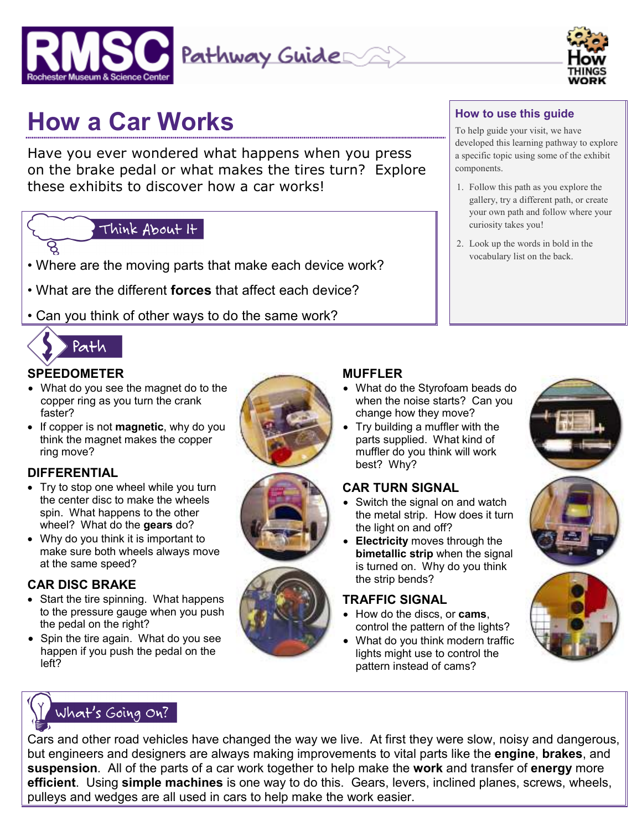



# **How a Car Works**

Have you ever wondered what happens when you press on the brake pedal or what makes the tires turn? Explore these exhibits to discover how a car works!

# Think About It

- Where are the moving parts that make each device work?
- What are the different **forces** that affect each device?
- Can you think of other ways to do the same work?



# **SPEEDOMETER**

- What do you see the magnet do to the copper ring as you turn the crank faster?
- If copper is not **magnetic**, why do you think the magnet makes the copper ring move?

# **DIFFERENTIAL**

- Try to stop one wheel while you turn the center disc to make the wheels spin. What happens to the other wheel? What do the **gears** do?
- Why do you think it is important to make sure both wheels always move at the same speed?

# **CAR DISC BRAKE**

- Start the tire spinning. What happens to the pressure gauge when you push the pedal on the right?
- Spin the tire again. What do you see happen if you push the pedal on the left?







# **How to use this guide**

To help guide your visit, we have developed this learning pathway to explore a specific topic using some of the exhibit components.

- 1. Follow this path as you explore the gallery, try a different path, or create your own path and follow where your curiosity takes you!
- 2. Look up the words in bold in the vocabulary list on the back.

#### **MUFFLER**

- What do the Styrofoam beads do when the noise starts? Can you change how they move?
- Try building a muffler with the parts supplied. What kind of muffler do you think will work best? Why?

#### **CAR TURN SIGNAL**

- Switch the signal on and watch the metal strip. How does it turn the light on and off?
- **Electricity** moves through the **bimetallic strip** when the signal is turned on. Why do you think the strip bends?

#### **TRAFFIC SIGNAL**

- How do the discs, or **cams**, control the pattern of the lights?
- What do you think modern traffic lights might use to control the pattern instead of cams?





Cars and other road vehicles have changed the way we live. At first they were slow, noisy and dangerous, but engineers and designers are always making improvements to vital parts like the **engine**, **brakes**, and **suspension**. All of the parts of a car work together to help make the **work** and transfer of **energy** more **efficient**. Using **simple machines** is one way to do this. Gears, levers, inclined planes, screws, wheels, pulleys and wedges are all used in cars to help make the work easier.